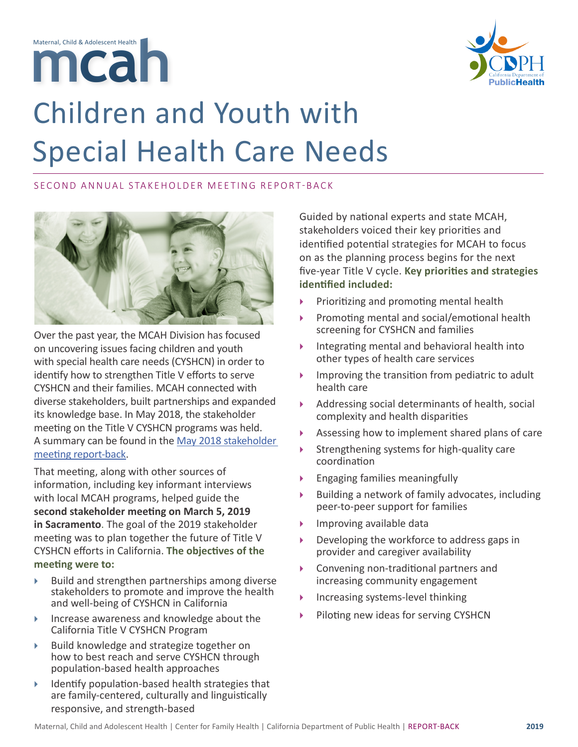



## Children and Youth with Special Health Care Needs

## SECOND ANNUAL STAKEHOLDER MEETING REPORT-BACK



Over the past year, the MCAH Division has focused on uncovering issues facing children and youth with special health care needs (CYSHCN) in order to identify how to strengthen Title V efforts to serve CYSHCN and their families. MCAH connected with diverse stakeholders, built partnerships and expanded its knowledge base. In May 2018, the stakeholder meeting on the Title V CYSHCN programs was held. A summary can be found in the [May 2018 stakeholder](http://May 2018 stakeholder meeting report-back)  [meeting report-back](http://May 2018 stakeholder meeting report-back).

That meeting, along with other sources of information, including key informant interviews with local MCAH programs, helped guide the **second stakeholder meeting on March 5, 2019 in Sacramento**. The goal of the 2019 stakeholder meeting was to plan together the future of Title V CYSHCN efforts in California. **The objectives of the meeting were to:**

- $\blacktriangleright$  Build and strengthen partnerships among diverse stakeholders to promote and improve the health and well-being of CYSHCN in California
- } Increase awareness and knowledge about the California Title V CYSHCN Program
- } Build knowledge and strategize together on how to best reach and serve CYSHCN through population-based health approaches
- $\blacktriangleright$  Identify population-based health strategies that are family-centered, culturally and linguistically responsive, and strength-based

Guided by national experts and state MCAH, stakeholders voiced their key priorities and identified potential strategies for MCAH to focus on as the planning process begins for the next five-year Title V cycle. **Key priorities and strategies identified included:** 

- Prioritizing and promoting mental health
- } Promoting mental and social/emotional health screening for CYSHCN and families
- Integrating mental and behavioral health into other types of health care services
- Improving the transition from pediatric to adult health care
- } Addressing social determinants of health, social complexity and health disparities
- Assessing how to implement shared plans of care
- Strengthening systems for high-quality care coordination
- } Engaging families meaningfully
- Building a network of family advocates, including peer-to-peer support for families
- Improving available data
- Developing the workforce to address gaps in provider and caregiver availability
- } Convening non-traditional partners and increasing community engagement
- Increasing systems-level thinking
- } Piloting new ideas for serving CYSHCN